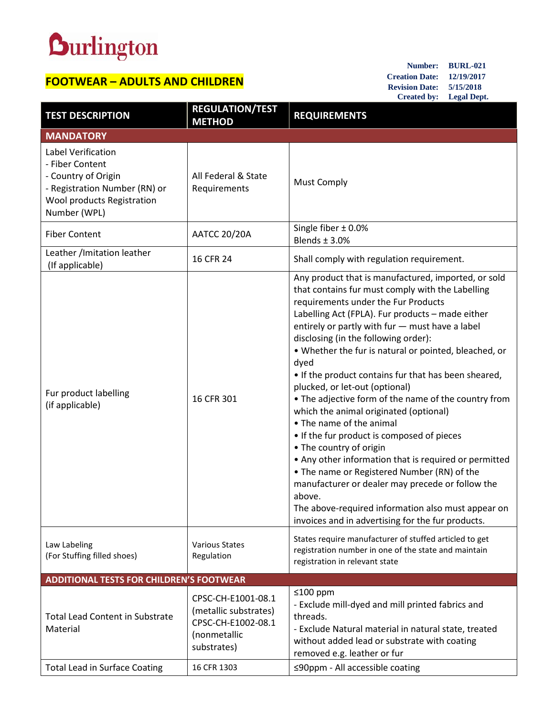## **Durlington**

## **FOOTWEAR – ADULTS AND CHILDREN**

**Number: BURL-021 Creation Date: 12/19/2017 Revision Date: 5/15/2018 Created by: Legal Dept.**

| <b>TEST DESCRIPTION</b>                                                                                                                     | <b>REGULATION/TEST</b><br><b>METHOD</b>                                                          | <b>REQUIREMENTS</b>                                                                                                                                                                                                                                                                                                                                                                                                                                                                                                                                                                                                                                                                                                                                                                                                                                                                                                                              |
|---------------------------------------------------------------------------------------------------------------------------------------------|--------------------------------------------------------------------------------------------------|--------------------------------------------------------------------------------------------------------------------------------------------------------------------------------------------------------------------------------------------------------------------------------------------------------------------------------------------------------------------------------------------------------------------------------------------------------------------------------------------------------------------------------------------------------------------------------------------------------------------------------------------------------------------------------------------------------------------------------------------------------------------------------------------------------------------------------------------------------------------------------------------------------------------------------------------------|
| <b>MANDATORY</b>                                                                                                                            |                                                                                                  |                                                                                                                                                                                                                                                                                                                                                                                                                                                                                                                                                                                                                                                                                                                                                                                                                                                                                                                                                  |
| Label Verification<br>- Fiber Content<br>- Country of Origin<br>- Registration Number (RN) or<br>Wool products Registration<br>Number (WPL) | All Federal & State<br>Requirements                                                              | <b>Must Comply</b>                                                                                                                                                                                                                                                                                                                                                                                                                                                                                                                                                                                                                                                                                                                                                                                                                                                                                                                               |
| <b>Fiber Content</b>                                                                                                                        | <b>AATCC 20/20A</b>                                                                              | Single fiber $\pm$ 0.0%<br>Blends $\pm$ 3.0%                                                                                                                                                                                                                                                                                                                                                                                                                                                                                                                                                                                                                                                                                                                                                                                                                                                                                                     |
| Leather / Imitation leather<br>(If applicable)                                                                                              | 16 CFR 24                                                                                        | Shall comply with regulation requirement.                                                                                                                                                                                                                                                                                                                                                                                                                                                                                                                                                                                                                                                                                                                                                                                                                                                                                                        |
| Fur product labelling<br>(if applicable)                                                                                                    | 16 CFR 301                                                                                       | Any product that is manufactured, imported, or sold<br>that contains fur must comply with the Labelling<br>requirements under the Fur Products<br>Labelling Act (FPLA). Fur products - made either<br>entirely or partly with fur - must have a label<br>disclosing (in the following order):<br>. Whether the fur is natural or pointed, bleached, or<br>dyed<br>• If the product contains fur that has been sheared,<br>plucked, or let-out (optional)<br>• The adjective form of the name of the country from<br>which the animal originated (optional)<br>• The name of the animal<br>• If the fur product is composed of pieces<br>• The country of origin<br>• Any other information that is required or permitted<br>• The name or Registered Number (RN) of the<br>manufacturer or dealer may precede or follow the<br>above.<br>The above-required information also must appear on<br>invoices and in advertising for the fur products. |
| Law Labeling<br>(For Stuffing filled shoes)                                                                                                 | <b>Various States</b><br>Regulation                                                              | States require manufacturer of stuffed articled to get<br>registration number in one of the state and maintain<br>registration in relevant state                                                                                                                                                                                                                                                                                                                                                                                                                                                                                                                                                                                                                                                                                                                                                                                                 |
| <b>ADDITIONAL TESTS FOR CHILDREN'S FOOTWEAR</b>                                                                                             |                                                                                                  |                                                                                                                                                                                                                                                                                                                                                                                                                                                                                                                                                                                                                                                                                                                                                                                                                                                                                                                                                  |
| <b>Total Lead Content in Substrate</b><br>Material                                                                                          | CPSC-CH-E1001-08.1<br>(metallic substrates)<br>CPSC-CH-E1002-08.1<br>(nonmetallic<br>substrates) | ≤100 ppm<br>- Exclude mill-dyed and mill printed fabrics and<br>threads.<br>- Exclude Natural material in natural state, treated<br>without added lead or substrate with coating<br>removed e.g. leather or fur                                                                                                                                                                                                                                                                                                                                                                                                                                                                                                                                                                                                                                                                                                                                  |
| <b>Total Lead in Surface Coating</b>                                                                                                        | 16 CFR 1303                                                                                      | ≤90ppm - All accessible coating                                                                                                                                                                                                                                                                                                                                                                                                                                                                                                                                                                                                                                                                                                                                                                                                                                                                                                                  |